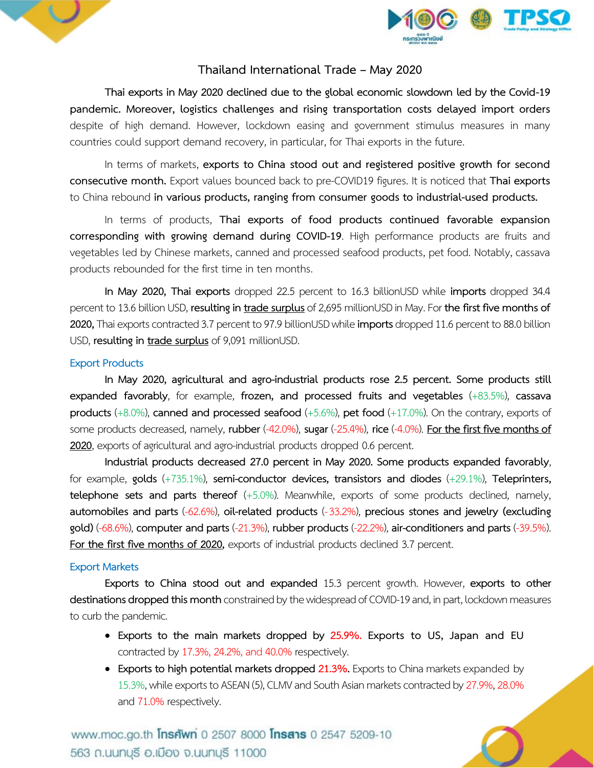



## **Thailand International Trade – May 2020**

**Thai exports in May 2020 declined due to the global economic slowdown led by the Covid-19 pandemic. Moreover, logistics challenges and rising transportation costs delayed import orders** despite of high demand. However, lockdown easing and government stimulus measures in many countries could support demand recovery, in particular, for Thai exports in the future.

In terms of markets, **exports to China stood out and registered positive growth for second consecutive month.** Export values bounced back to pre-COVID19 figures. It is noticed that **Thai exports** to China rebound **in various products, ranging from consumer goods to industrial-used products.**

In terms of products, **Thai exports of food products continued favorable expansion corresponding with growing demand during COVID-19**. High performance products are fruits and vegetables led by Chinese markets, canned and processed seafood products, pet food. Notably, cassava products rebounded for the first time in ten months.

**In May 2020, Thai exports** dropped 22.5 percent to 16.3 billionUSD while **imports** dropped 34.4 percent to 13.6 billion USD, **resulting in trade surplus** of 2,695 millionUSD in May. For the first five months of 2020, Thai exports contracted 3.7 percent to 97.9 billionUSD while **imports** dropped 11.6 percent to 88.0 billion USD, **resulting in trade surplus** of 9,091 millionUSD.

#### **Export Products**

**In May 2020, agricultural and agro-industrial products rose 2.5 percent. Some products still expanded favorably**, for example, **frozen, and processed fruits and vegetables** (+83.5%), **cassava products** (+8.0%), **canned and processed seafood** (+5.6%), **pet food** (+17.0%). On the contrary, exports of some products decreased, namely, **rubber** (-42.0%), **sugar** (-25.4%), **rice**(-4.0%). **For the first five months of**  2020, exports of agricultural and agro-industrial products dropped 0.6 percent.

**Industrial products decreased 27.0 percent in May 2020. Some products expanded favorably**, for example, **golds** (+735.1%), **semi-conductor devices, transistors and diodes** (+29.1%), **Teleprinters, telephone sets and parts thereof** (+5.0%). Meanwhile, exports of some products declined, namely, **automobiles and parts** (-62.6%), **oil-related products** (-33.2%), **precious stones and jewelry (excluding gold)** (-68.6%), **computer and parts** (-21.3%), **rubber products** (-22.2%), **air-conditioners and parts** (-39.5%). **For the first five months of 2020,** exports of industrial products declined 3.7 percent.

#### **Export Markets**

**Exports to China stood out and expanded** 15.3 percent growth. However, **exports to other destinations dropped this month** constrained by the widespread of COVID-19 and, in part, lockdown measures to curb the pandemic.

- **Exports to the main markets dropped by 25.9%. Exports to US, Japan and EU** contracted by 17.3%, 24.2%, and 40.0% respectively.
- **Exports to high potential markets dropped 21.3%.** Exports to China markets expanded by 15.3%, while exports to ASEAN (5), CLMV and South Asian markets contracted by 27.9%, 28.0% and 71.0% respectively.

www.moc.go.th **Insriwn** 0 2507 8000 **Insans** 0 2547 5209-10 563 ก.นนทบุรี อ.เมือง จ.นนทบุรี 11000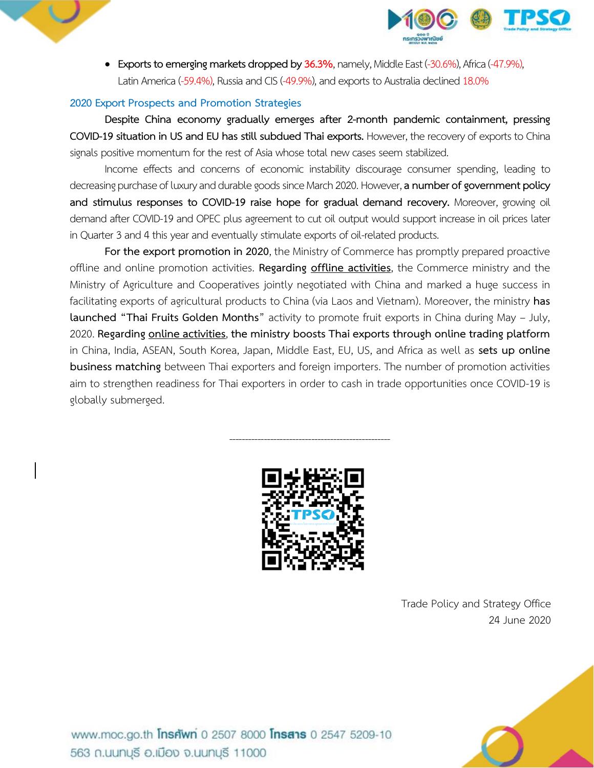

 **Exports to emergingmarkets dropped by 36.3%**,namely, Middle East (-30.6%), Africa(-47.9%), Latin America (-59.4%), Russia and CIS (-49.9%), and exports to Australia declined 18.0%

## **2020** Export Prospects and Promotion Strategies

**Despite China economy gradually emerges after 2-month pandemic containment, pressing COVID-19 situation in US and EU has still subdued Thai exports. However, the recovery of exports to China** signals positive momentum for the rest of Asia whose total new cases seem stabilized.

Income effects and concerns of economic instability discourage consumer spending, leading to decreasing purchase of luxury and durable goods since March 2020. However, a number of government policy **and stimulus responses to COVID-19 raise hope for gradual demand recovery.** Moreover, growing oil demand after COVID-19 and OPEC plus agreement to cut oil output would support increase in oil prices later in Quarter 3 and 4 this year and eventually stimulate exports of oil-related products.

**For the export promotion in 2020**, the Ministry of Commerce has promptly prepared proactive offline and online promotion activities. **Regarding offline activities**, the Commerce ministry and the Ministry of Agriculture and Cooperatives jointly negotiated with China and marked a huge success in facilitating exports of agricultural products to China (via Laos and Vietnam). Moreover, the ministry **has launched "Thai Fruits Golden Months**" activity to promote fruit exports in China during May – July, 2020. **Regarding online activities**, **the ministry boosts Thai exports through online trading platform** in China, India, ASEAN, South Korea, Japan, Middle East, EU, US, and Africa as well as **sets up online business matching** between Thai exporters and foreign importers. The number of promotion activities aim to strengthen readiness for Thai exporters in order to cash in trade opportunities once COVID-19 is globally submerged.



---------------------------------------------------

Trade Policy and Strategy Office 24 June 2020